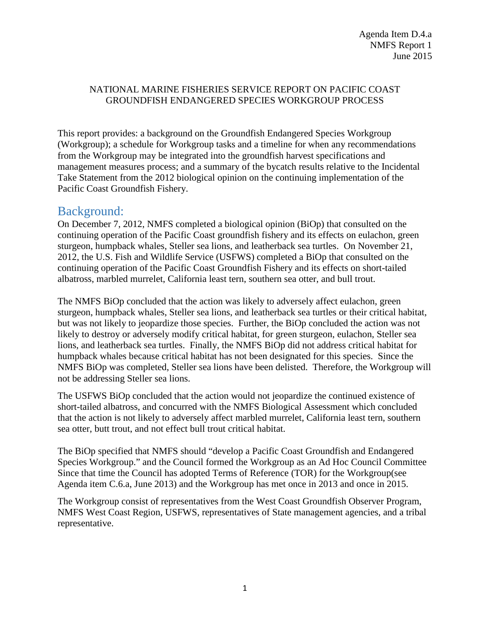## NATIONAL MARINE FISHERIES SERVICE REPORT ON PACIFIC COAST GROUNDFISH ENDANGERED SPECIES WORKGROUP PROCESS

This report provides: a background on the Groundfish Endangered Species Workgroup (Workgroup); a schedule for Workgroup tasks and a timeline for when any recommendations from the Workgroup may be integrated into the groundfish harvest specifications and management measures process; and a summary of the bycatch results relative to the Incidental Take Statement from the 2012 biological opinion on the continuing implementation of the Pacific Coast Groundfish Fishery.

## Background:

On December 7, 2012, NMFS completed a biological opinion (BiOp) that consulted on the continuing operation of the Pacific Coast groundfish fishery and its effects on eulachon, green sturgeon, humpback whales, Steller sea lions, and leatherback sea turtles. On November 21, 2012, the U.S. Fish and Wildlife Service (USFWS) completed a BiOp that consulted on the continuing operation of the Pacific Coast Groundfish Fishery and its effects on short-tailed albatross, marbled murrelet, California least tern, southern sea otter, and bull trout.

The NMFS BiOp concluded that the action was likely to adversely affect eulachon, green sturgeon, humpback whales, Steller sea lions, and leatherback sea turtles or their critical habitat, but was not likely to jeopardize those species. Further, the BiOp concluded the action was not likely to destroy or adversely modify critical habitat, for green sturgeon, eulachon, Steller sea lions, and leatherback sea turtles. Finally, the NMFS BiOp did not address critical habitat for humpback whales because critical habitat has not been designated for this species. Since the NMFS BiOp was completed, Steller sea lions have been delisted. Therefore, the Workgroup will not be addressing Steller sea lions.

The USFWS BiOp concluded that the action would not jeopardize the continued existence of short-tailed albatross, and concurred with the NMFS Biological Assessment which concluded that the action is not likely to adversely affect marbled murrelet, California least tern, southern sea otter, butt trout, and not effect bull trout critical habitat.

The BiOp specified that NMFS should "develop a Pacific Coast Groundfish and Endangered Species Workgroup." and the Council formed the Workgroup as an Ad Hoc Council Committee Since that time the Council has adopted Terms of Reference (TOR) for the Workgroup(see Agenda item C.6.a, June 2013) and the Workgroup has met once in 2013 and once in 2015.

The Workgroup consist of representatives from the West Coast Groundfish Observer Program, NMFS West Coast Region, USFWS, representatives of State management agencies, and a tribal representative.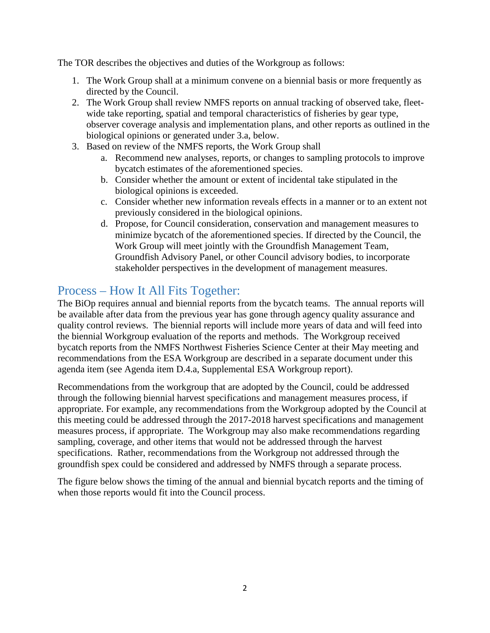The TOR describes the objectives and duties of the Workgroup as follows:

- 1. The Work Group shall at a minimum convene on a biennial basis or more frequently as directed by the Council.
- 2. The Work Group shall review NMFS reports on annual tracking of observed take, fleetwide take reporting, spatial and temporal characteristics of fisheries by gear type, observer coverage analysis and implementation plans, and other reports as outlined in the biological opinions or generated under 3.a, below.
- 3. Based on review of the NMFS reports, the Work Group shall
	- a. Recommend new analyses, reports, or changes to sampling protocols to improve bycatch estimates of the aforementioned species.
	- b. Consider whether the amount or extent of incidental take stipulated in the biological opinions is exceeded.
	- c. Consider whether new information reveals effects in a manner or to an extent not previously considered in the biological opinions.
	- d. Propose, for Council consideration, conservation and management measures to minimize bycatch of the aforementioned species. If directed by the Council, the Work Group will meet jointly with the Groundfish Management Team, Groundfish Advisory Panel, or other Council advisory bodies, to incorporate stakeholder perspectives in the development of management measures.

# Process – How It All Fits Together:

The BiOp requires annual and biennial reports from the bycatch teams. The annual reports will be available after data from the previous year has gone through agency quality assurance and quality control reviews. The biennial reports will include more years of data and will feed into the biennial Workgroup evaluation of the reports and methods. The Workgroup received bycatch reports from the NMFS Northwest Fisheries Science Center at their May meeting and recommendations from the ESA Workgroup are described in a separate document under this agenda item (see Agenda item D.4.a, Supplemental ESA Workgroup report).

Recommendations from the workgroup that are adopted by the Council, could be addressed through the following biennial harvest specifications and management measures process, if appropriate. For example, any recommendations from the Workgroup adopted by the Council at this meeting could be addressed through the 2017-2018 harvest specifications and management measures process, if appropriate. The Workgroup may also make recommendations regarding sampling, coverage, and other items that would not be addressed through the harvest specifications. Rather, recommendations from the Workgroup not addressed through the groundfish spex could be considered and addressed by NMFS through a separate process.

The figure below shows the timing of the annual and biennial bycatch reports and the timing of when those reports would fit into the Council process.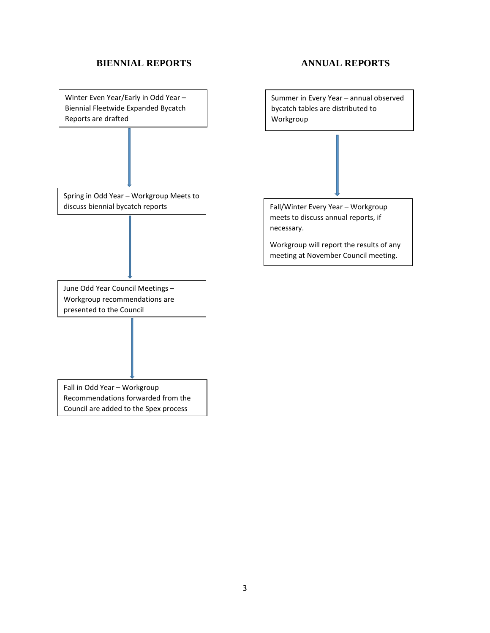### **BIENNIAL REPORTS ANNUAL REPORTS**

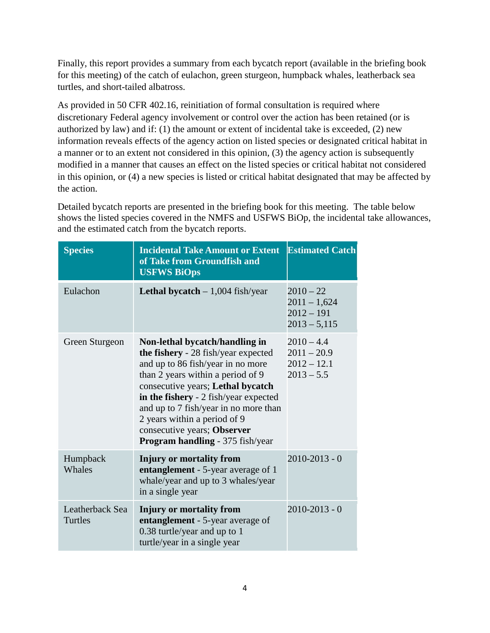Finally, this report provides a summary from each bycatch report (available in the briefing book for this meeting) of the catch of eulachon, green sturgeon, humpback whales, leatherback sea turtles, and short-tailed albatross.

As provided in 50 CFR 402.16, reinitiation of formal consultation is required where discretionary Federal agency involvement or control over the action has been retained (or is authorized by law) and if: (1) the amount or extent of incidental take is exceeded, (2) new information reveals effects of the agency action on listed species or designated critical habitat in a manner or to an extent not considered in this opinion, (3) the agency action is subsequently modified in a manner that causes an effect on the listed species or critical habitat not considered in this opinion, or (4) a new species is listed or critical habitat designated that may be affected by the action.

Detailed bycatch reports are presented in the briefing book for this meeting. The table below shows the listed species covered in the NMFS and USFWS BiOp, the incidental take allowances, and the estimated catch from the bycatch reports.

| <b>Species</b>             | <b>Incidental Take Amount or Extent</b><br>of Take from Groundfish and<br><b>USFWS BiOps</b>                                                                                                                                                                                                                                                                                     | <b>Estimated Catch</b>                                          |
|----------------------------|----------------------------------------------------------------------------------------------------------------------------------------------------------------------------------------------------------------------------------------------------------------------------------------------------------------------------------------------------------------------------------|-----------------------------------------------------------------|
| Eulachon                   | <b>Lethal bycatch</b> $-1,004$ fish/year                                                                                                                                                                                                                                                                                                                                         | $2010 - 22$<br>$2011 - 1,624$<br>$2012 - 191$<br>$2013 - 5,115$ |
| Green Sturgeon             | Non-lethal bycatch/handling in<br>the fishery - 28 fish/year expected<br>and up to 86 fish/year in no more<br>than 2 years within a period of 9<br>consecutive years; Lethal bycatch<br>in the fishery - 2 fish/year expected<br>and up to 7 fish/year in no more than<br>2 years within a period of 9<br>consecutive years; Observer<br><b>Program handling - 375 fish/year</b> | $2010 - 4.4$<br>$2011 - 20.9$<br>$2012 - 12.1$<br>$2013 - 5.5$  |
| Humpback<br>Whales         | <b>Injury or mortality from</b><br>entanglement - 5-year average of 1<br>whale/year and up to 3 whales/year<br>in a single year                                                                                                                                                                                                                                                  | $2010 - 2013 - 0$                                               |
| Leatherback Sea<br>Turtles | Injury or mortality from<br>entanglement - 5-year average of<br>0.38 turtle/year and up to 1<br>turtle/year in a single year                                                                                                                                                                                                                                                     | $2010 - 2013 - 0$                                               |